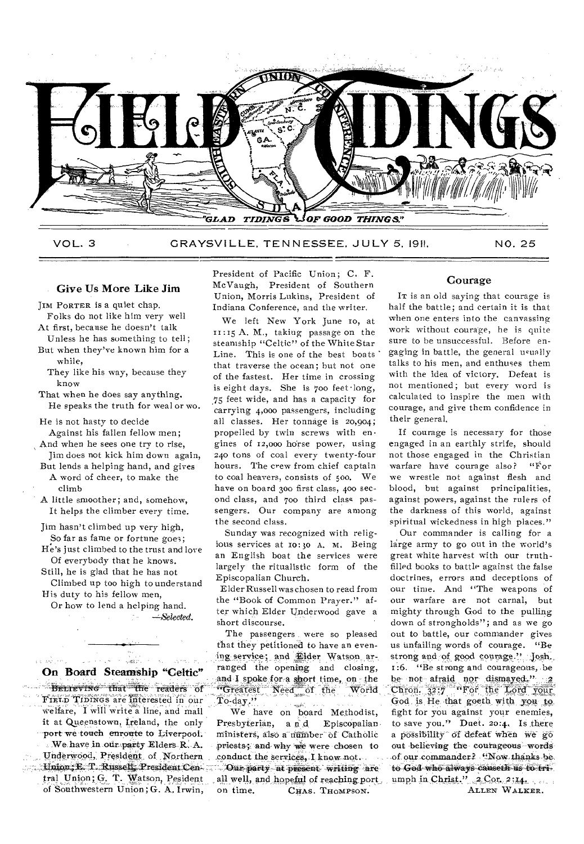

VOL. 3 GRAYSVILLE, TENNESSEE. JULY 5, 1911. NO. 25

### Give Us More Like Jim

JIM PORTER is a quiet chap.

- Folks do not like him very well At first, because he doesn't talk
- Unless he has something to tell;
- But when they've known him for a while,
- They like his way, because they know

That when he does say anything. He speaks the truth for weal or wo.

He is not hasty to decide Against his fallen fellow men;

- And when he sees one try to rise, Jim does not kick him down again,
- But lends a helping hand, and gives A word of cheer, to make the climb
- A little smoother; and, somehow, It helps the climber every time.
- Jim hasn't climbed up very high, So far as fame or fortune goe3;
- He's just climbed to the trust and love Of everybody that he knows.
- Still, he is glad that he has not Climbed up too high to understand
- His duty to his fellow men, Or how to lend a helping hand.

*--AS'elected.* 

.<br>. . . . . . .

## On Board Steamship "Celtic"

المدارين

Betreving that the readers of FIELD TIDINGS are interested in our welfare, I will write a line, and mail it at Queenstown, Ireland, the only port we touch enronte to Liverpool. . We have in our party Elders R. A. Vaderwood,, President of Northern ..44.140.13; E. T. Russell, President Cep:, tral Union; G. T. Watson, Pesident of Southwestern Union; G. A, Irwin,

President of Pacific Union; C. F. McVaugh, President of Southern Union, Morris Lukins, President of Indiana Conference, and the writer.

We left New York June to, at 11:15 A. M., taking passage on the steamship "Celtic" of the White Star Line. This is one of the best boats that traverse the ocean; but not one of the fastest. Her time in crossing is eight days. She is 700 feet •long, 75 feet wide, and has a capacity for carrying 4,00o passengers, including all classes. Her tonnage is 20,904; propelled by twin screws with en• gines of 12,000 horse power, using 240 tons of coal every twenty-four hours. The crew from chief captain to coal heavers, consists of 500. We have on board 300 first class, 400 second class, and 700 third class passengers. Our company are among the second class.

Sunday was recognized with religious services at 10:30 A. M. Being an English boat the services were largely the ritualistic form of the Episcopalian Church.

Elder Russell was chosen to read from the "Book of Common Prayer." after which Elder Underwood gave a short discourse.

The passengers were so pleased that they petitioned to have an evening service; and Elder Watson arranged the opening and closing, and I spoke for a short time, on the "Greatest Need of the World  $To-day$ ."

We have on board Methodist, Presbyterian, a n d Episcopalian. ministers, also a number of Catholic priests; and-why We were chosen to conduct the services, I know not. Our-party at present writing are all well, and hopeful of reaching port. on time. CHAS. THOMPSON.

## Courage

IT is an old saying that courage is half the battle; and certain it is that when one enters into the canvassing work without courage, he is quite sure to be unsuccessful. Before engaging in battle, the general usually talks to his men, and enthuses them with the idea of victory. Defeat is not mentioned; but every word is calculated to inspire the men with courage, and give them confidence in their general.

If courage is necessary for those engaged in an earthly strife, should not those engaged in the Christian warfare have courage also? "For we wrestle not against flesh and blood, but against principalities, against powers, against the rulers of the darkness of this world, against spiritual wickedness in high places."

Our commander is calling for a lairge army to go out in the world's great white harvest with our truthfilled books to battle against the false doctrines, errors and deceptions of our time. And "The weapons of our warfare are not carnal, but mighty through God to the pulling down of strongholds"; and as we go out to battle, our commander gives us unfailing words of courage. "Be strong and of good courage." Josh. 1:6. "Be strong and courageous,, **be**  be not-afraid nor dismayed."  $2$ Chron.  $32.7$  "For the Lord your God is He that goeth with you to fight for you against your enemies, to save you." Duet. 20:4. Is there a possibility of defeat when we go out believing the courageous words of our commander? "Now thanks be. to God who always eahseth **us** to:isier. umph in Christ."  $2 \text{ Cor. } 2$ ;14, ... ALLEN WALKER.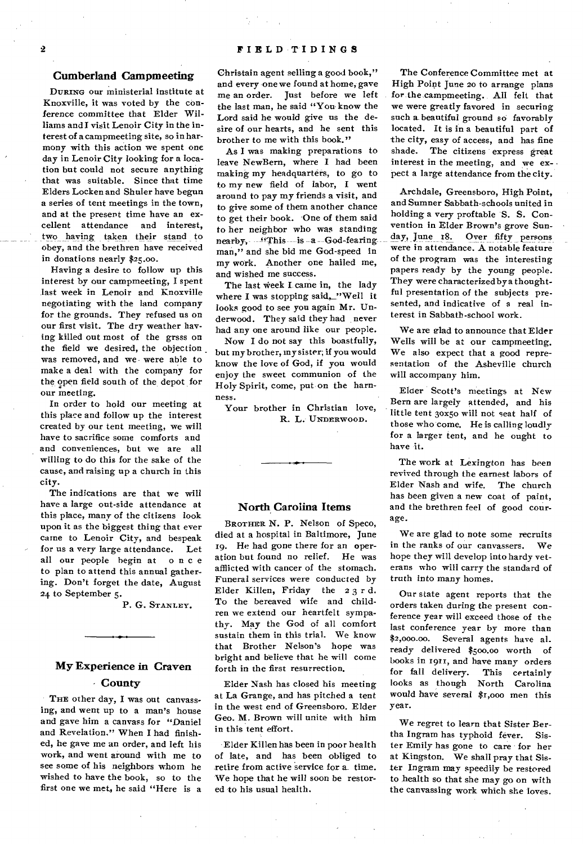#### **Cumberland Campmeeting**

DURING our ministerial institute at Knoxville, it was voted by the conference committee that Elder Williams and I visit Lenoir City in the interest of a campmeeting site, so in harmony with this action we spent one day in Lenoir City looking for a location but could not secure anything that was suitable. Since that time Elders Locken and Shuler have begun a series of tent meetings in the town, and at the present time have an excellent attendance and interest, two having taken their stand to obey, and the brethren have received in donations nearly \$25.00.

Having a desire to follow up this interest by our campmeeting, I spent last week in Lenoir and Knoxville negotiating with the land company for the grounds. They refused us on our first visit. The dry weather having killed out most of the grsss on the field we desired, the objection was removed, and we were able to make a deal with the company for the open field south of the, depot for our meeting.

In order to hold our meeting at this place and follow up the interest created by our tent meeting, we will have to sacrifice some comforts and and conveniences, but we are all willing to do this for the sake of the cause, and raising up a church in this city.

The indications are that we will have a large out-side attendance at this place, many of the citizens look upon it as the biggest thing that ever came to Lenoir City, and bespeak for us a very large attendance. Let all our people begin at once to plan to attend this annual gathering. Don't forget the date, August 24 to September 5.

P. G. STANLEY.

# **My Experience in Craven - County**

THE other day, I was out canvassing, and went up to a man's house and gave him a canvass for "Daniel and Revelation." When I had finished, he gave me an order, and left his work, and went around with me to see some of his neighbors whom he wished to have the book, so to the first one we met, he said "Here is a

Christain agent selling a good book," and every one we found at home, gave me an order. Just before we left the last man, he said "You know the Lord said he would give us the desire of our hearts, and he sent this brother to me with this book."

As I was making preparations to leave NewBern, where I had been making my headquarters, to go to to my new field of labor, I went around to pay my friends a visit, and to give some of them another chance to get their book. One of them said to her neighbor who was standing nearby, "This is a --God-fearingman," and she bid me God-speed in my work. Another one hailed me, and wished me success.

The last week I. came in, the lady where I was stopping said, "Well it looks good to see you again Mr. Underwood. They said they had never had any one around like our people.

Now I do not say this boastfully, but my brother, my sister; if you would know the love of God, if you would enjoy the sweet communion of the Holy Spirit, come, put on the harm ness.

Your brother in Christian love, R. L. UNDERWOOD.

## **North Carolina Items**

BROTHER N. P. Nelson of Speco, died at a hospital in Baltimore, June 19. He had gone there for an operation but found no relief. He was afflicted with cancer of the stomach. Funeral services were conducted by Elder Killen, Friday the 2 3 r d. To the bereaved wife and children we extend our heartfelt sympathy. May the God of all comfort sustain them in this trial. We know that Brother Nelson's hope was bright and believe that he will come forth in the first resurrection.

Elder Nash has closed his meeting at La Grange, and has pitched a tent in the west end of Greensboro. Elder Geo. M. Brown will unite with him in this tent effort.

Elder Killen has been in poor health of late, and has been obliged to retire from active service for a. time. We hope that he will soon be restored to his usual health.

The Conference Committee met at High Point June 20 to arrange plans for the campmeeting. All felt that we were greatly favored in securing such a beautiful ground so favorably located. It is in a beautiful part of the city, easy of access, and has fine shade. The citizens express great interest in the meeting, and we expect a large attendance from the city.

Archdale, Greensboro, High Point, and Sumner Sabbath-schools united in holding a very proftable S. S. Convention in Elder Brown's grove Sunday, June r8. Over fifty persons were in attendance. A notable feature of the program was the interesting papers ready by the young people. They were characterized by a thoughtful presentation of the subjects presented, and indicative of a real interest in Sabbath-school work.

We are glad to announce that Elder Wells will be at our campmeeting. We also expect that a good representation of the Asheville church will accompany him.

Elder Scott's meetings at New Bern are largely attended, and his little tent 3ox5o will not seat half of those who come. He is calling loudly for a larger tent, and he ought to have it.

The work at Lexington has been revived through the earnest labors of Elder Nash and wife. The church has been given a new coat of paint, and the brethren feel of good courage.

We are glad to note some recruits in the ranks of our canvassers. We hope they will develop into hardy veterans who will carry the standard of truth into many homes.

Our state agent reports that the orders taken during the present conference year will exceed those of the last conference year by more than \$2,000.00. Several agents have al\_ ready delivered \$500.00 worth of books in 1911, and have many orders for fall delivery. This certainly looks as though North Carolina would have several \$r,000 men this year.

We regret to learn that Sister Bertha Ingram has typhoid fever. Sister Emily has gone to care for her at Kingston. We shall pray that Sister Ingram may speedily be restored to health so that she may go on with the canvassing work which she loves.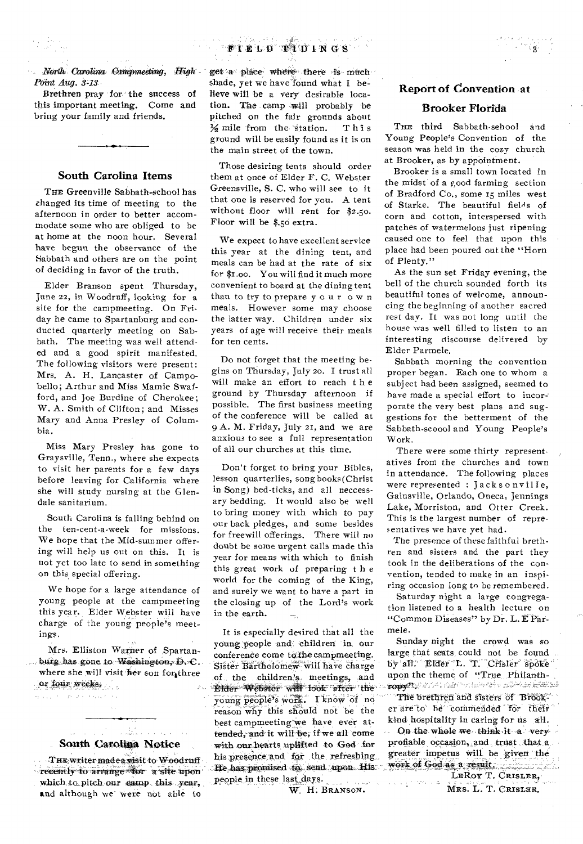#### $-44.47$ **Contact** D'ELD TUDINGS

*North Carolina •campmeeting, High Point Aug. 8-13* 

Brethren pray for the success of this important meeting. Come and bring your family and friends.

## **South Carolina Items**

THE Greenville Sabbath-school has changed its time of meeting to the afternoon in order to better accommodate some who are obliged to be at home at the noon hour. Several have begun the observance of the Sabbath and others are on the point of deciding in favor of the truth.

Elder Branson spent Thursday, June 22, in Woodruff, looking for a site for the campmeeting. On Friday he came to Spartanburg and conducted quarterly meeting on Sabbath. The meeting was well attended and a good spirit manifested. The following visitors were present: Mrs. A. H. Lancaster of Campobello; Arthur and Miss Mamie Swafford, and Joe Burdine of Cherokee; W. A. Smith of Clifton; and Misses Mary and Anna Presley of Columbia.

Miss Mary Presley has gone to Graysville, Tenn., where she expects to visit her parents for a few days before leaving for California where she will study nursing at the Glendale sanitarium.

South Carolina is falling behind on the ten-cent-a-week for missions. We hope that the Mid-summer offering will help us out on this. It is not yet too late to send in something on this special offering.

We hope for a large attendance of young people at the campmeeting this year. Elder Webster will have charge of the young people's meetings.

Mrs. Elliston Warner of Spartanburg has gone to Washington,  $D, \infty$ . where she will visit her son for three or four weeks.

بالأراح ووالحاج فالأناص الجارو ولأروء

**South Carolina Notice** 

a di Santa Caratteria.<br>Se segli di Santa Caratteria

THE writer made a visit to Woodruff - recently to arrange for a site upon which to\_pitch our camp this, year, and although we' were not able to

get a place where there is much shade, yet we have found what I believe will be a very desirable location. The camp will probably be pitched on the fair grounds about  $\frac{1}{2}$  mile from the station. This ground will be easily found as it is on the main street of the town.

Those desiring tents should order them at once of Elder F. C. Webster Greensville, S. C. who will see to it that one is reserved for you. A tent without floor will rent for \$2.50. Floor will be \$.5o extra.

We expect to have excellent service this year at the dining tent, and meals can be had at the rate of six for \$1.00. You will find it much more convenient to board at the dining tent than to try to prepare your own meals. However some may choose the latter way. Children under six years of age will receive their meals for ten cents.

Do not forget that the meeting begins on Thursday, July 20. I trust all will make an effort to reach t h e ground by Thursday afternoon if possible. The first business meeting of the conference will be called at 9 A. M. Friday, July 21, and *we* are anxious to see a full representation of all our churches at this time.

Don't forget to bring your Bibles, lesson quarterlies, song books(Christ in Song) bed-ticks, and all neccessary bedding. It would also be well to bring money with which to pay our back pledges, and some besides for freewill offerings. There will no doubt be some urgent calls made this year for means with which to finish this great work of preparing t h e world for the coming of the King, and surely we want to have a part in the closing up of the Lord's work in the earth. and a

It is especially desired that all the young people and children in our conference come to the campmeeting. Sister Bartholomew will have charge .of the children's meetings, and 4ilder Webster will look' • after- theyoung people's work. I know of no reason why this should not be the best campmeeting we have ever attended, and it will be, if we all come with our hearts uplifted to God for his presence and for the refreshing He has promised to send upon. His people in these, last. days.

W. H. BRANSON.

## **Report of Convention at**

## **Brooker Florida**

THE third Sabbath-sehool and Young People's Convention of the season was held in the cozy church at Brooker, as by appointment.

Brooker is a small town located in the midst' of a good farming section of Bradford Co., some 15 miles west of Starke. The beautiful fields of corn and cotton, interspersed with patches of watermelons just ripening caused one to feel that upon this place had been poured out the "Horn of Plenty."

As the sun set Friday evening, the bell of the church sounded forth its beautiful tones of welcome, announcing the beginning of another sacred rest day. It was not long until the house was well filled to listen to an interesting discourse delivered by Elder Parmele,

Sabbath morning the convention proper began. Each one to whom a subject had been assigned, seemed to have made a special effort to incorporate the very best plans and suggestions for the betterment of the Sabbath-sc000l and Young People's Work.

There were some thirty represent. atives from the churches and town in attendance. The following places were represented : Jacksonville, Gainsville, Orlando, Oneca, Jennings Lake, Morriston, and Otter Creek. This is the largest number of representatives we have yet had.

The presence of these faithful brethren and sisters and the part they took in the deliberations of the convention, tended to make in an inspiring occasion long to be remembered.

Saturday night a large congregation listened to a health lecture on "Common Diseases" by Dr. L. E Parmele.

Sunday night the crowd was so large that seats could not be found by all. Elder L. T. Crisler spoke upon the theme of "True Philanth-

The brethren and sisters of Brooker are to he' commended for their kind hospitality in caring for us all.

On the whole we think it a veryprofiable occasion, and trust that a. greater impetus will be given the work of God as a result.

a a significand

LEROY T. CRISLER, MRS. L. T. CRISLER.